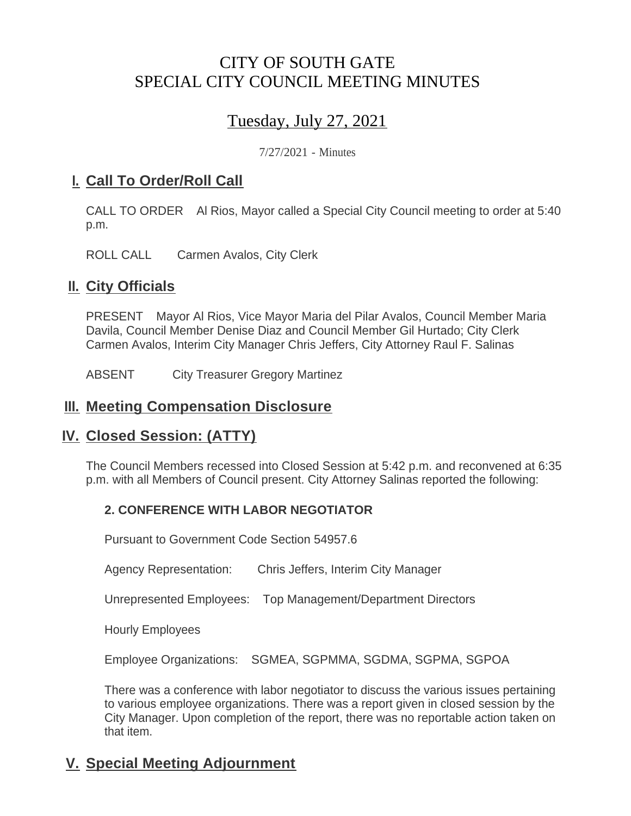# CITY OF SOUTH GATE SPECIAL CITY COUNCIL MEETING MINUTES

# Tuesday, July 27, 2021

7/27/2021 - Minutes

### <u>**I. Call To Order/Roll Call**</u>

CALL TO ORDER Al Rios, Mayor called a Special City Council meeting to order at 5:40 p.m.

ROLL CALL Carmen Avalos, City Clerk

### **II.** City Officials

PRESENT Mayor Al Rios, Vice Mayor Maria del Pilar Avalos, Council Member Maria Davila, Council Member Denise Diaz and Council Member Gil Hurtado; City Clerk Carmen Avalos, Interim City Manager Chris Jeffers, City Attorney Raul F. Salinas

ABSENT City Treasurer Gregory Martinez

#### **Meeting Compensation Disclosure III.**

#### **Closed Session: (ATTY) IV.**

The Council Members recessed into Closed Session at 5:42 p.m. and reconvened at 6:35 p.m. with all Members of Council present. City Attorney Salinas reported the following:

#### **2. CONFERENCE WITH LABOR NEGOTIATOR**

Pursuant to Government Code Section 54957.6

Agency Representation: Chris Jeffers, Interim City Manager

Unrepresented Employees: Top Management/Department Directors

Hourly Employees

Employee Organizations: SGMEA, SGPMMA, SGDMA, SGPMA, SGPOA

There was a conference with labor negotiator to discuss the various issues pertaining to various employee organizations. There was a report given in closed session by the City Manager. Upon completion of the report, there was no reportable action taken on that item.

## **Special Meeting Adjournment V.**